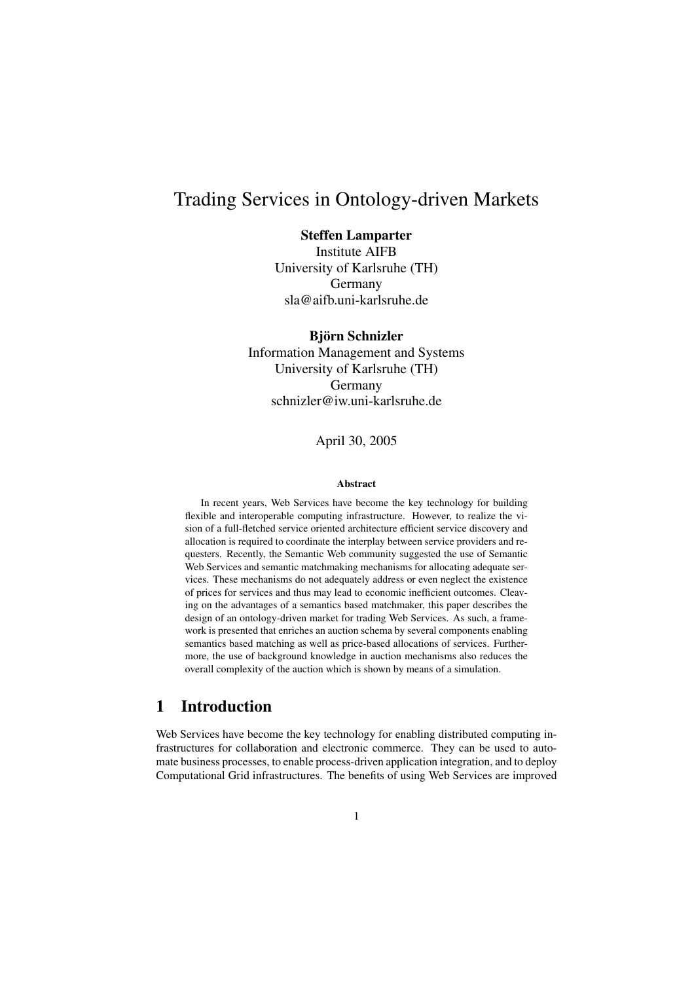# Trading Services in Ontology-driven Markets

### Steffen Lamparter

Institute AIFB University of Karlsruhe (TH) Germany sla@aifb.uni-karlsruhe.de

Björn Schnizler Information Management and Systems University of Karlsruhe (TH) Germany schnizler@iw.uni-karlsruhe.de

April 30, 2005

#### **Abstract**

In recent years, Web Services have become the key technology for building flexible and interoperable computing infrastructure. However, to realize the vision of a full-fletched service oriented architecture efficient service discovery and allocation is required to coordinate the interplay between service providers and requesters. Recently, the Semantic Web community suggested the use of Semantic Web Services and semantic matchmaking mechanisms for allocating adequate services. These mechanisms do not adequately address or even neglect the existence of prices for services and thus may lead to economic inefficient outcomes. Cleaving on the advantages of a semantics based matchmaker, this paper describes the design of an ontology-driven market for trading Web Services. As such, a framework is presented that enriches an auction schema by several components enabling semantics based matching as well as price-based allocations of services. Furthermore, the use of background knowledge in auction mechanisms also reduces the overall complexity of the auction which is shown by means of a simulation.

## 1 Introduction

Web Services have become the key technology for enabling distributed computing infrastructures for collaboration and electronic commerce. They can be used to automate business processes, to enable process-driven application integration, and to deploy Computational Grid infrastructures. The benefits of using Web Services are improved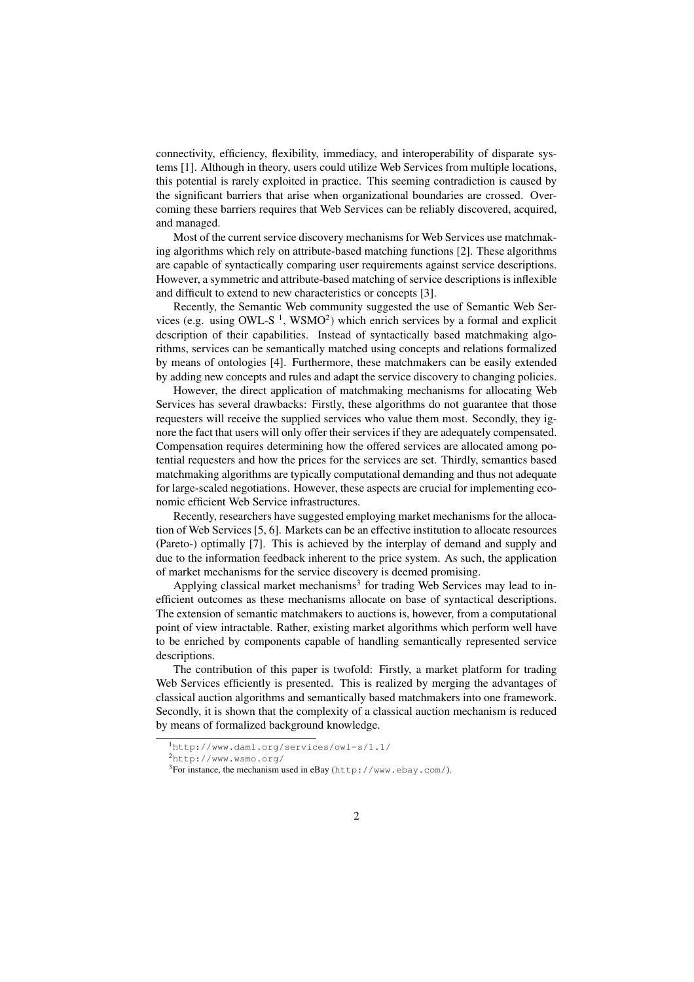connectivity, efficiency, flexibility, immediacy, and interoperability of disparate systems [1]. Although in theory, users could utilize Web Services from multiple locations, this potential is rarely exploited in practice. This seeming contradiction is caused by the significant barriers that arise when organizational boundaries are crossed. Overcoming these barriers requires that Web Services can be reliably discovered, acquired, and managed.

Most of the current service discovery mechanisms for Web Services use matchmaking algorithms which rely on attribute-based matching functions [2]. These algorithms are capable of syntactically comparing user requirements against service descriptions. However, a symmetric and attribute-based matching of service descriptions is inflexible and difficult to extend to new characteristics or concepts [3].

Recently, the Semantic Web community suggested the use of Semantic Web Services (e.g. using OWL-S<sup>1</sup>, WSMO<sup>2</sup>) which enrich services by a formal and explicit description of their capabilities. Instead of syntactically based matchmaking algorithms, services can be semantically matched using concepts and relations formalized by means of ontologies [4]. Furthermore, these matchmakers can be easily extended by adding new concepts and rules and adapt the service discovery to changing policies.

However, the direct application of matchmaking mechanisms for allocating Web Services has several drawbacks: Firstly, these algorithms do not guarantee that those requesters will receive the supplied services who value them most. Secondly, they ignore the fact that users will only offer their services if they are adequately compensated. Compensation requires determining how the offered services are allocated among potential requesters and how the prices for the services are set. Thirdly, semantics based matchmaking algorithms are typically computational demanding and thus not adequate for large-scaled negotiations. However, these aspects are crucial for implementing economic efficient Web Service infrastructures.

Recently, researchers have suggested employing market mechanisms for the allocation of Web Services [5, 6]. Markets can be an effective institution to allocate resources (Pareto-) optimally [7]. This is achieved by the interplay of demand and supply and due to the information feedback inherent to the price system. As such, the application of market mechanisms for the service discovery is deemed promising.

Applying classical market mechanisms<sup>3</sup> for trading Web Services may lead to inefficient outcomes as these mechanisms allocate on base of syntactical descriptions. The extension of semantic matchmakers to auctions is, however, from a computational point of view intractable. Rather, existing market algorithms which perform well have to be enriched by components capable of handling semantically represented service descriptions.

The contribution of this paper is twofold: Firstly, a market platform for trading Web Services efficiently is presented. This is realized by merging the advantages of classical auction algorithms and semantically based matchmakers into one framework. Secondly, it is shown that the complexity of a classical auction mechanism is reduced by means of formalized background knowledge.

<sup>1</sup>http://www.daml.org/services/owl-s/1.1/

<sup>2</sup>http://www.wsmo.org/

<sup>3</sup>For instance, the mechanism used in eBay (http://www.ebay.com/).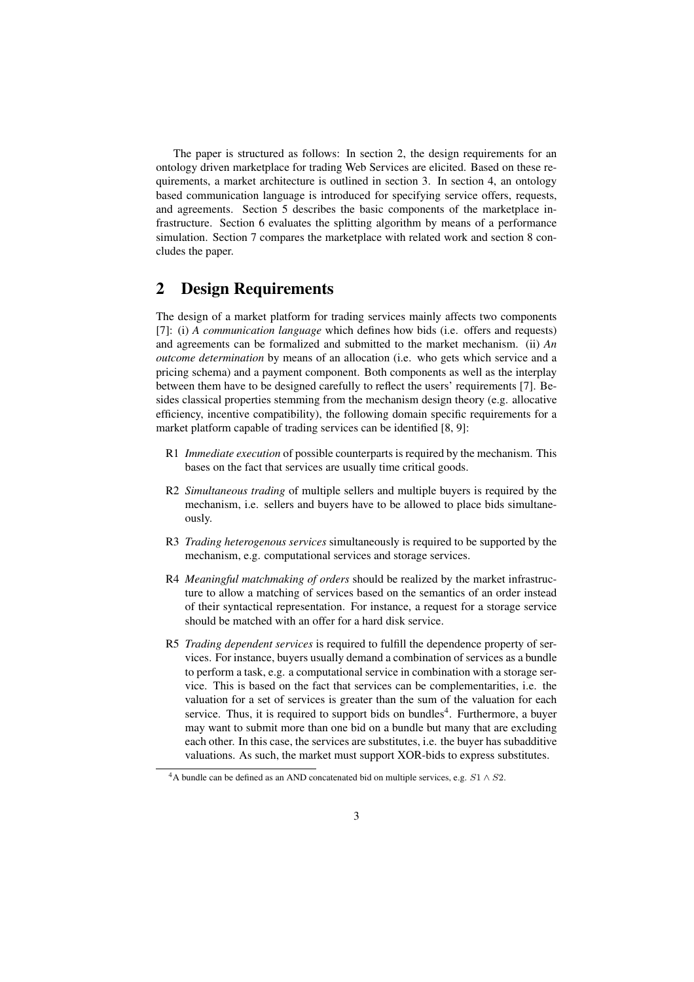The paper is structured as follows: In section 2, the design requirements for an ontology driven marketplace for trading Web Services are elicited. Based on these requirements, a market architecture is outlined in section 3. In section 4, an ontology based communication language is introduced for specifying service offers, requests, and agreements. Section 5 describes the basic components of the marketplace infrastructure. Section 6 evaluates the splitting algorithm by means of a performance simulation. Section 7 compares the marketplace with related work and section 8 concludes the paper.

## 2 Design Requirements

The design of a market platform for trading services mainly affects two components [7]: (i) *A communication language* which defines how bids (i.e. offers and requests) and agreements can be formalized and submitted to the market mechanism. (ii) *An outcome determination* by means of an allocation (i.e. who gets which service and a pricing schema) and a payment component. Both components as well as the interplay between them have to be designed carefully to reflect the users' requirements [7]. Besides classical properties stemming from the mechanism design theory (e.g. allocative efficiency, incentive compatibility), the following domain specific requirements for a market platform capable of trading services can be identified [8, 9]:

- R1 *Immediate execution* of possible counterparts is required by the mechanism. This bases on the fact that services are usually time critical goods.
- R2 *Simultaneous trading* of multiple sellers and multiple buyers is required by the mechanism, i.e. sellers and buyers have to be allowed to place bids simultaneously.
- R3 *Trading heterogenous services* simultaneously is required to be supported by the mechanism, e.g. computational services and storage services.
- R4 *Meaningful matchmaking of orders* should be realized by the market infrastructure to allow a matching of services based on the semantics of an order instead of their syntactical representation. For instance, a request for a storage service should be matched with an offer for a hard disk service.
- R5 *Trading dependent services* is required to fulfill the dependence property of services. For instance, buyers usually demand a combination of services as a bundle to perform a task, e.g. a computational service in combination with a storage service. This is based on the fact that services can be complementarities, i.e. the valuation for a set of services is greater than the sum of the valuation for each service. Thus, it is required to support bids on bundles<sup>4</sup>. Furthermore, a buyer may want to submit more than one bid on a bundle but many that are excluding each other. In this case, the services are substitutes, i.e. the buyer has subadditive valuations. As such, the market must support XOR-bids to express substitutes.

<sup>&</sup>lt;sup>4</sup>A bundle can be defined as an AND concatenated bid on multiple services, e.g.  $S1 \wedge S2$ .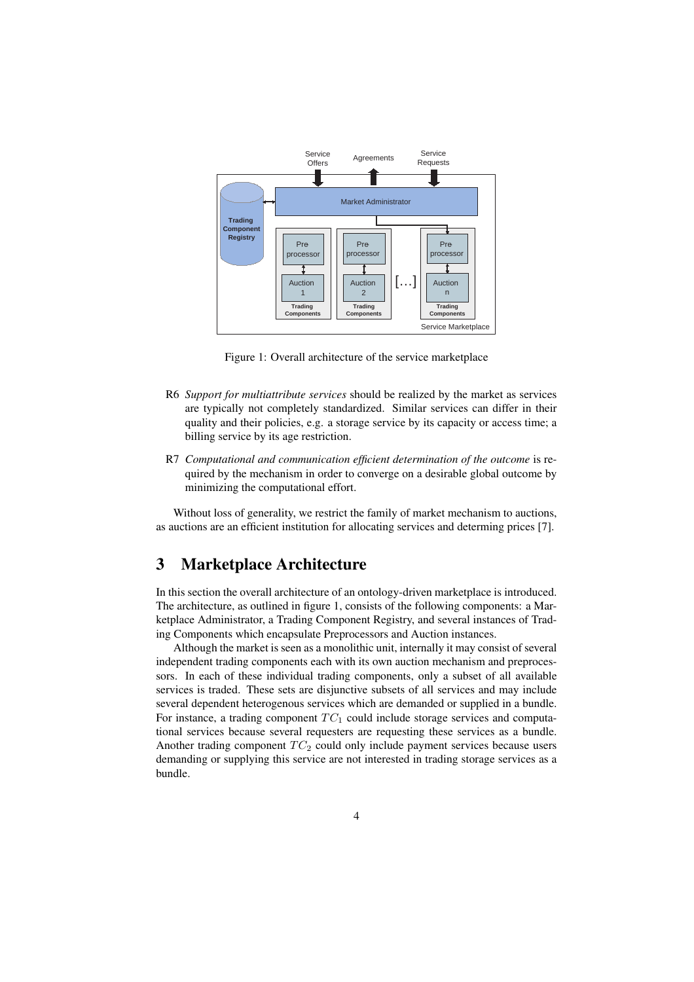

Figure 1: Overall architecture of the service marketplace

- R6 *Support for multiattribute services* should be realized by the market as services are typically not completely standardized. Similar services can differ in their quality and their policies, e.g. a storage service by its capacity or access time; a billing service by its age restriction.
- R7 *Computational and communication efficient determination of the outcome* is required by the mechanism in order to converge on a desirable global outcome by minimizing the computational effort.

Without loss of generality, we restrict the family of market mechanism to auctions, as auctions are an efficient institution for allocating services and determing prices [7].

## 3 Marketplace Architecture

In this section the overall architecture of an ontology-driven marketplace is introduced. The architecture, as outlined in figure 1, consists of the following components: a Marketplace Administrator, a Trading Component Registry, and several instances of Trading Components which encapsulate Preprocessors and Auction instances.

Although the market is seen as a monolithic unit, internally it may consist of several independent trading components each with its own auction mechanism and preprocessors. In each of these individual trading components, only a subset of all available services is traded. These sets are disjunctive subsets of all services and may include several dependent heterogenous services which are demanded or supplied in a bundle. For instance, a trading component  $TC_1$  could include storage services and computational services because several requesters are requesting these services as a bundle. Another trading component  $TC_2$  could only include payment services because users demanding or supplying this service are not interested in trading storage services as a bundle.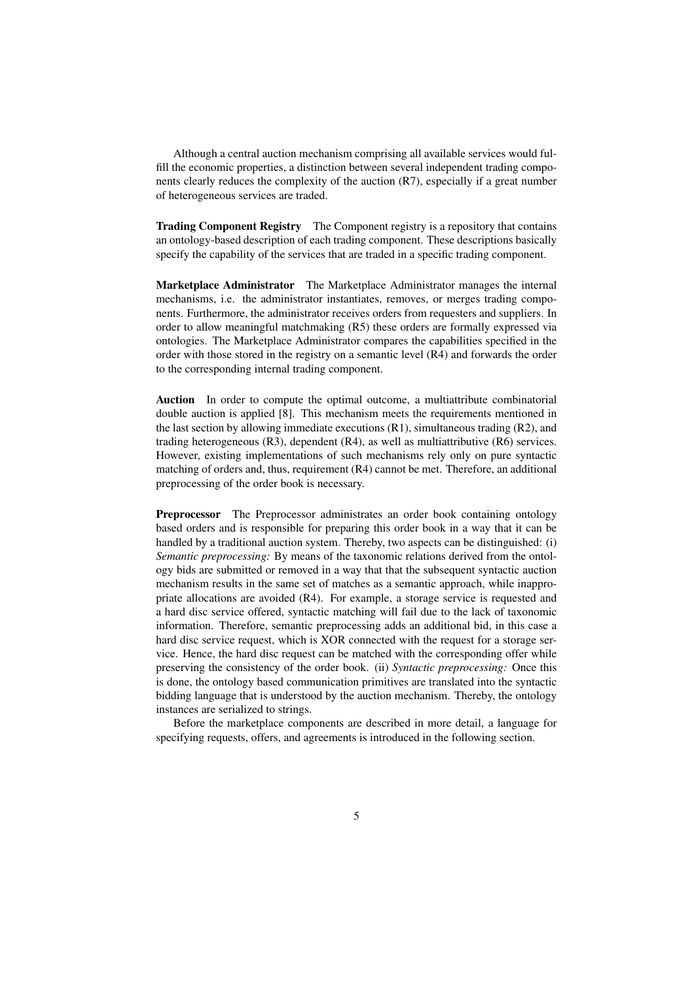Although a central auction mechanism comprising all available services would fulfill the economic properties, a distinction between several independent trading components clearly reduces the complexity of the auction (R7), especially if a great number of heterogeneous services are traded.

Trading Component Registry The Component registry is a repository that contains an ontology-based description of each trading component. These descriptions basically specify the capability of the services that are traded in a specific trading component.

Marketplace Administrator The Marketplace Administrator manages the internal mechanisms, i.e. the administrator instantiates, removes, or merges trading components. Furthermore, the administrator receives orders from requesters and suppliers. In order to allow meaningful matchmaking (R5) these orders are formally expressed via ontologies. The Marketplace Administrator compares the capabilities specified in the order with those stored in the registry on a semantic level (R4) and forwards the order to the corresponding internal trading component.

Auction In order to compute the optimal outcome, a multiattribute combinatorial double auction is applied [8]. This mechanism meets the requirements mentioned in the last section by allowing immediate executions (R1), simultaneous trading (R2), and trading heterogeneous (R3), dependent (R4), as well as multiattributive (R6) services. However, existing implementations of such mechanisms rely only on pure syntactic matching of orders and, thus, requirement (R4) cannot be met. Therefore, an additional preprocessing of the order book is necessary.

Preprocessor The Preprocessor administrates an order book containing ontology based orders and is responsible for preparing this order book in a way that it can be handled by a traditional auction system. Thereby, two aspects can be distinguished: (i) *Semantic preprocessing:* By means of the taxonomic relations derived from the ontology bids are submitted or removed in a way that that the subsequent syntactic auction mechanism results in the same set of matches as a semantic approach, while inappropriate allocations are avoided (R4). For example, a storage service is requested and a hard disc service offered, syntactic matching will fail due to the lack of taxonomic information. Therefore, semantic preprocessing adds an additional bid, in this case a hard disc service request, which is XOR connected with the request for a storage service. Hence, the hard disc request can be matched with the corresponding offer while preserving the consistency of the order book. (ii) *Syntactic preprocessing:* Once this is done, the ontology based communication primitives are translated into the syntactic bidding language that is understood by the auction mechanism. Thereby, the ontology instances are serialized to strings.

Before the marketplace components are described in more detail, a language for specifying requests, offers, and agreements is introduced in the following section.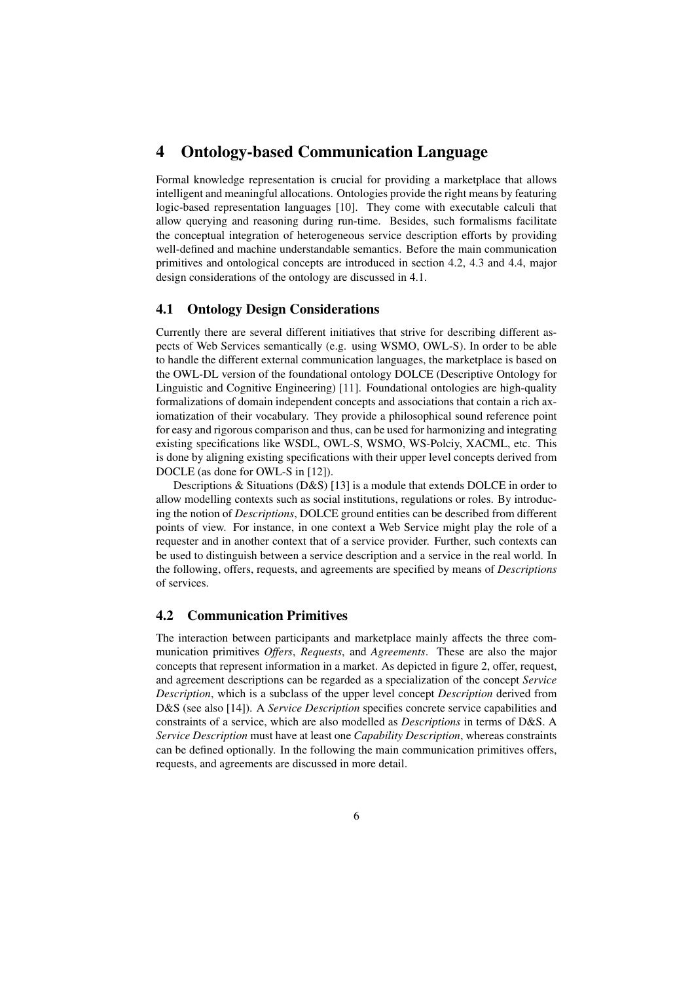## 4 Ontology-based Communication Language

Formal knowledge representation is crucial for providing a marketplace that allows intelligent and meaningful allocations. Ontologies provide the right means by featuring logic-based representation languages [10]. They come with executable calculi that allow querying and reasoning during run-time. Besides, such formalisms facilitate the conceptual integration of heterogeneous service description efforts by providing well-defined and machine understandable semantics. Before the main communication primitives and ontological concepts are introduced in section 4.2, 4.3 and 4.4, major design considerations of the ontology are discussed in 4.1.

### 4.1 Ontology Design Considerations

Currently there are several different initiatives that strive for describing different aspects of Web Services semantically (e.g. using WSMO, OWL-S). In order to be able to handle the different external communication languages, the marketplace is based on the OWL-DL version of the foundational ontology DOLCE (Descriptive Ontology for Linguistic and Cognitive Engineering) [11]. Foundational ontologies are high-quality formalizations of domain independent concepts and associations that contain a rich axiomatization of their vocabulary. They provide a philosophical sound reference point for easy and rigorous comparison and thus, can be used for harmonizing and integrating existing specifications like WSDL, OWL-S, WSMO, WS-Polciy, XACML, etc. This is done by aligning existing specifications with their upper level concepts derived from DOCLE (as done for OWL-S in [12]).

Descriptions & Situations (D&S) [13] is a module that extends DOLCE in order to allow modelling contexts such as social institutions, regulations or roles. By introducing the notion of *Descriptions*, DOLCE ground entities can be described from different points of view. For instance, in one context a Web Service might play the role of a requester and in another context that of a service provider. Further, such contexts can be used to distinguish between a service description and a service in the real world. In the following, offers, requests, and agreements are specified by means of *Descriptions* of services.

#### 4.2 Communication Primitives

The interaction between participants and marketplace mainly affects the three communication primitives *Offers*, *Requests*, and *Agreements*. These are also the major concepts that represent information in a market. As depicted in figure 2, offer, request, and agreement descriptions can be regarded as a specialization of the concept *Service Description*, which is a subclass of the upper level concept *Description* derived from D&S (see also [14]). A *Service Description* specifies concrete service capabilities and constraints of a service, which are also modelled as *Descriptions* in terms of D&S. A *Service Description* must have at least one *Capability Description*, whereas constraints can be defined optionally. In the following the main communication primitives offers, requests, and agreements are discussed in more detail.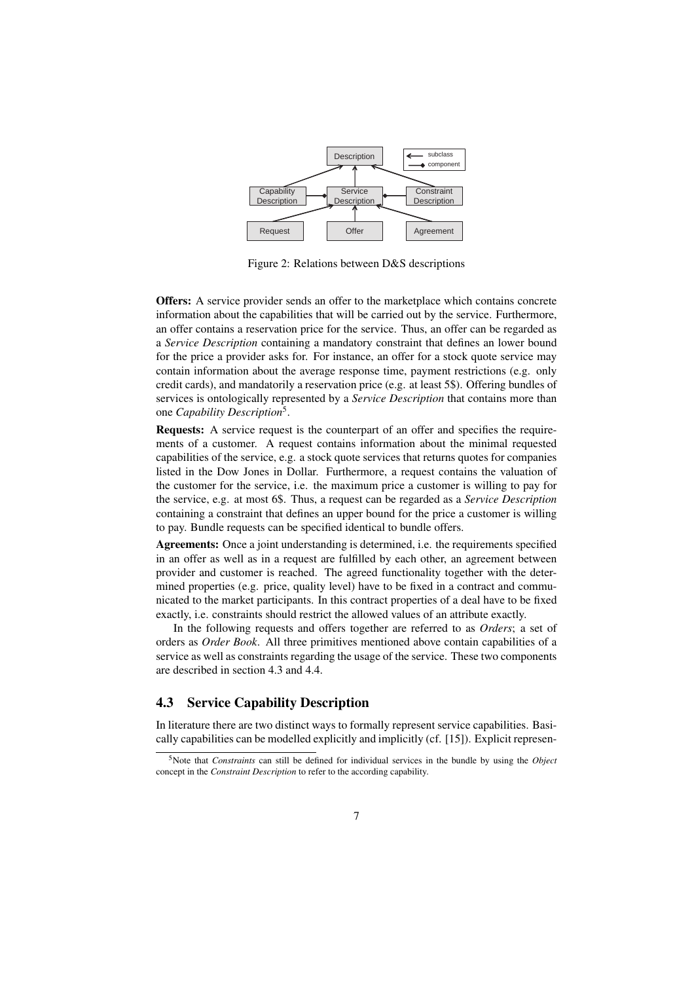

Figure 2: Relations between D&S descriptions

Offers: A service provider sends an offer to the marketplace which contains concrete information about the capabilities that will be carried out by the service. Furthermore, an offer contains a reservation price for the service. Thus, an offer can be regarded as a *Service Description* containing a mandatory constraint that defines an lower bound for the price a provider asks for. For instance, an offer for a stock quote service may contain information about the average response time, payment restrictions (e.g. only credit cards), and mandatorily a reservation price (e.g. at least 5\$). Offering bundles of services is ontologically represented by a *Service Description* that contains more than one *Capability Description*<sup>5</sup> .

Requests: A service request is the counterpart of an offer and specifies the requirements of a customer. A request contains information about the minimal requested capabilities of the service, e.g. a stock quote services that returns quotes for companies listed in the Dow Jones in Dollar. Furthermore, a request contains the valuation of the customer for the service, i.e. the maximum price a customer is willing to pay for the service, e.g. at most 6\$. Thus, a request can be regarded as a *Service Description* containing a constraint that defines an upper bound for the price a customer is willing to pay. Bundle requests can be specified identical to bundle offers.

Agreements: Once a joint understanding is determined, i.e. the requirements specified in an offer as well as in a request are fulfilled by each other, an agreement between provider and customer is reached. The agreed functionality together with the determined properties (e.g. price, quality level) have to be fixed in a contract and communicated to the market participants. In this contract properties of a deal have to be fixed exactly, i.e. constraints should restrict the allowed values of an attribute exactly.

In the following requests and offers together are referred to as *Orders*; a set of orders as *Order Book*. All three primitives mentioned above contain capabilities of a service as well as constraints regarding the usage of the service. These two components are described in section 4.3 and 4.4.

### 4.3 Service Capability Description

In literature there are two distinct ways to formally represent service capabilities. Basically capabilities can be modelled explicitly and implicitly (cf. [15]). Explicit represen-

<sup>5</sup>Note that *Constraints* can still be defined for individual services in the bundle by using the *Object* concept in the *Constraint Description* to refer to the according capability.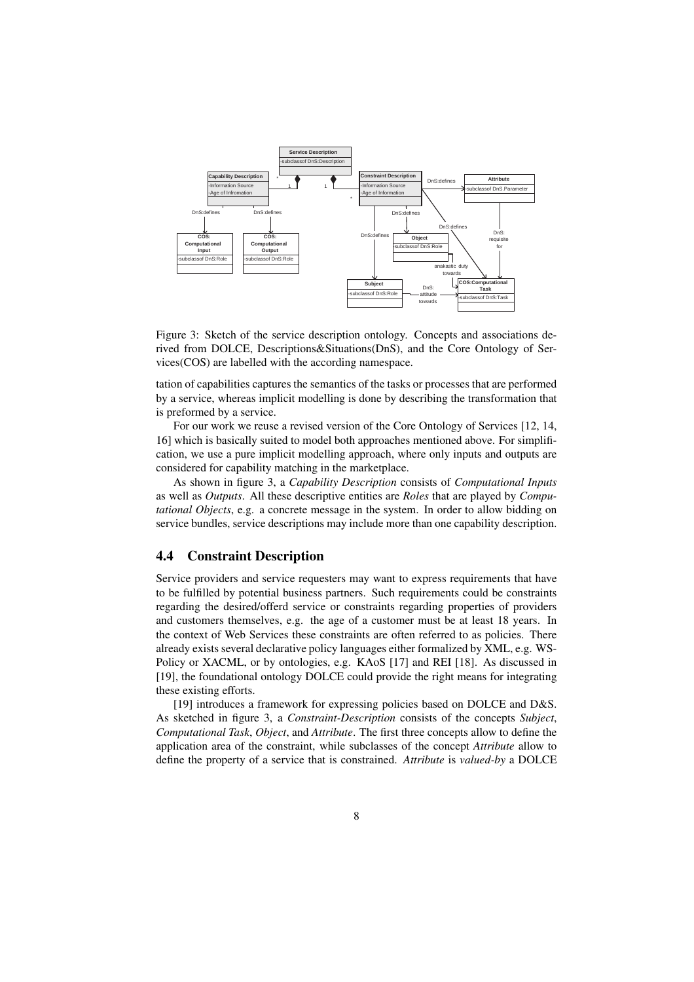

Figure 3: Sketch of the service description ontology. Concepts and associations derived from DOLCE, Descriptions&Situations(DnS), and the Core Ontology of Services(COS) are labelled with the according namespace.

tation of capabilities captures the semantics of the tasks or processes that are performed by a service, whereas implicit modelling is done by describing the transformation that is preformed by a service.

For our work we reuse a revised version of the Core Ontology of Services [12, 14, 16] which is basically suited to model both approaches mentioned above. For simplification, we use a pure implicit modelling approach, where only inputs and outputs are considered for capability matching in the marketplace.

As shown in figure 3, a *Capability Description* consists of *Computational Inputs* as well as *Outputs*. All these descriptive entities are *Roles* that are played by *Computational Objects*, e.g. a concrete message in the system. In order to allow bidding on service bundles, service descriptions may include more than one capability description.

#### 4.4 Constraint Description

Service providers and service requesters may want to express requirements that have to be fulfilled by potential business partners. Such requirements could be constraints regarding the desired/offerd service or constraints regarding properties of providers and customers themselves, e.g. the age of a customer must be at least 18 years. In the context of Web Services these constraints are often referred to as policies. There already exists several declarative policy languages either formalized by XML, e.g. WS-Policy or XACML, or by ontologies, e.g. KAoS [17] and REI [18]. As discussed in [19], the foundational ontology DOLCE could provide the right means for integrating these existing efforts.

[19] introduces a framework for expressing policies based on DOLCE and D&S. As sketched in figure 3, a *Constraint-Description* consists of the concepts *Subject*, *Computational Task*, *Object*, and *Attribute*. The first three concepts allow to define the application area of the constraint, while subclasses of the concept *Attribute* allow to define the property of a service that is constrained. *Attribute* is *valued-by* a DOLCE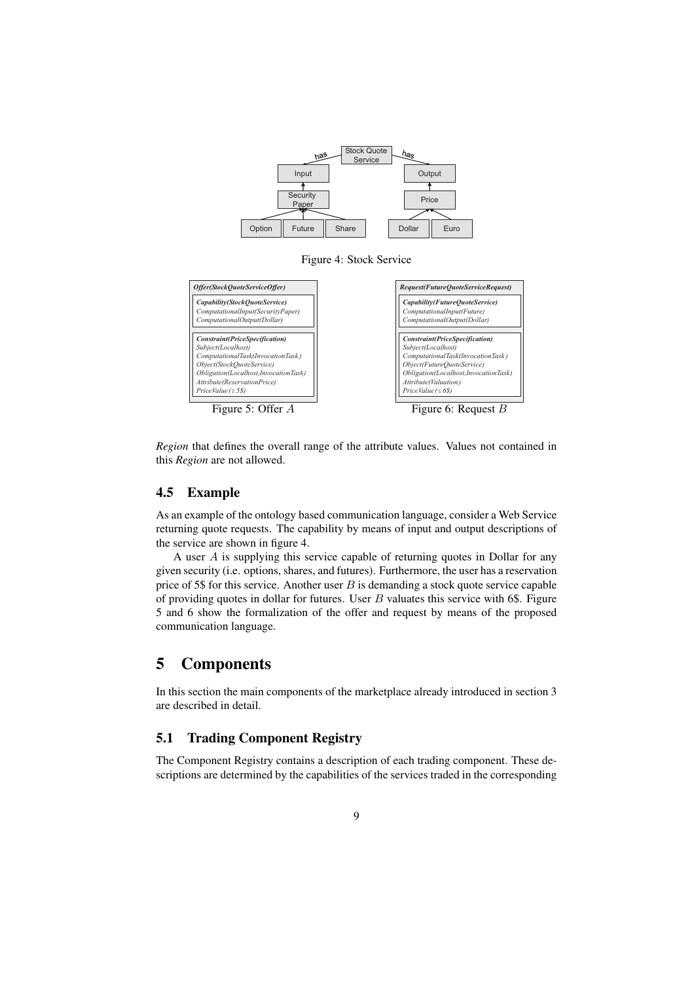

Figure 4: Stock Service



*Region* that defines the overall range of the attribute values. Values not contained in this *Region* are not allowed.

#### 4.5 Example

As an example of the ontology based communication language, consider a Web Service returning quote requests. The capability by means of input and output descriptions of the service are shown in figure 4.

A user A is supplying this service capable of returning quotes in Dollar for any given security (i.e. options, shares, and futures). Furthermore, the user has a reservation price of 5\$ for this service. Another user  $B$  is demanding a stock quote service capable of providing quotes in dollar for futures. User  $B$  valuates this service with 6\$. Figure 5 and 6 show the formalization of the offer and request by means of the proposed communication language.

## 5 Components

In this section the main components of the marketplace already introduced in section 3 are described in detail.

### 5.1 Trading Component Registry

The Component Registry contains a description of each trading component. These descriptions are determined by the capabilities of the services traded in the corresponding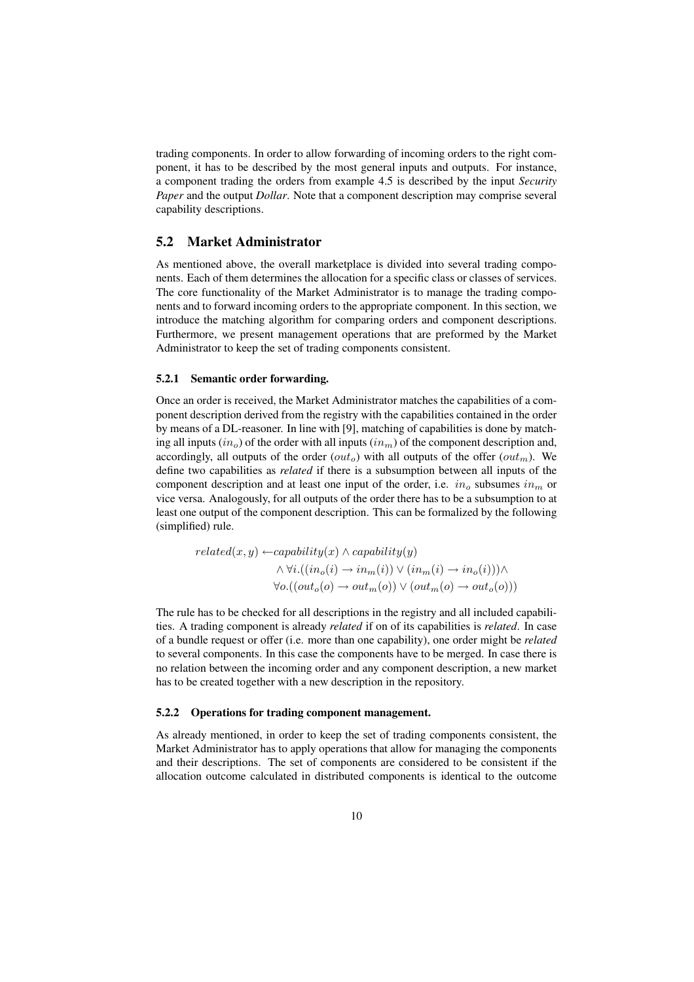trading components. In order to allow forwarding of incoming orders to the right component, it has to be described by the most general inputs and outputs. For instance, a component trading the orders from example 4.5 is described by the input *Security Paper* and the output *Dollar*. Note that a component description may comprise several capability descriptions.

#### 5.2 Market Administrator

As mentioned above, the overall marketplace is divided into several trading components. Each of them determines the allocation for a specific class or classes of services. The core functionality of the Market Administrator is to manage the trading components and to forward incoming orders to the appropriate component. In this section, we introduce the matching algorithm for comparing orders and component descriptions. Furthermore, we present management operations that are preformed by the Market Administrator to keep the set of trading components consistent.

#### 5.2.1 Semantic order forwarding.

Once an order is received, the Market Administrator matches the capabilities of a component description derived from the registry with the capabilities contained in the order by means of a DL-reasoner. In line with [9], matching of capabilities is done by matching all inputs  $(in<sub>o</sub>)$  of the order with all inputs  $(in<sub>m</sub>)$  of the component description and, accordingly, all outputs of the order  $(out<sub>o</sub>)$  with all outputs of the offer  $(out<sub>m</sub>)$ . We define two capabilities as *related* if there is a subsumption between all inputs of the component description and at least one input of the order, i.e.  $in_{\alpha}$  subsumes  $in_{m}$  or vice versa. Analogously, for all outputs of the order there has to be a subsumption to at least one output of the component description. This can be formalized by the following (simplified) rule.

$$
related(x, y) \leftarrow capability(x) \land capability(y)
$$
  
 
$$
\land \forall i. ((in_o(i) \rightarrow in_m(i)) \lor (in_m(i) \rightarrow in_o(i))) \land
$$
  
 
$$
\forall o.((out_o(o) \rightarrow out_m(o)) \lor (out_m(o) \rightarrow out_o(o)))
$$

The rule has to be checked for all descriptions in the registry and all included capabilities. A trading component is already *related* if on of its capabilities is *related*. In case of a bundle request or offer (i.e. more than one capability), one order might be *related* to several components. In this case the components have to be merged. In case there is no relation between the incoming order and any component description, a new market has to be created together with a new description in the repository.

#### 5.2.2 Operations for trading component management.

As already mentioned, in order to keep the set of trading components consistent, the Market Administrator has to apply operations that allow for managing the components and their descriptions. The set of components are considered to be consistent if the allocation outcome calculated in distributed components is identical to the outcome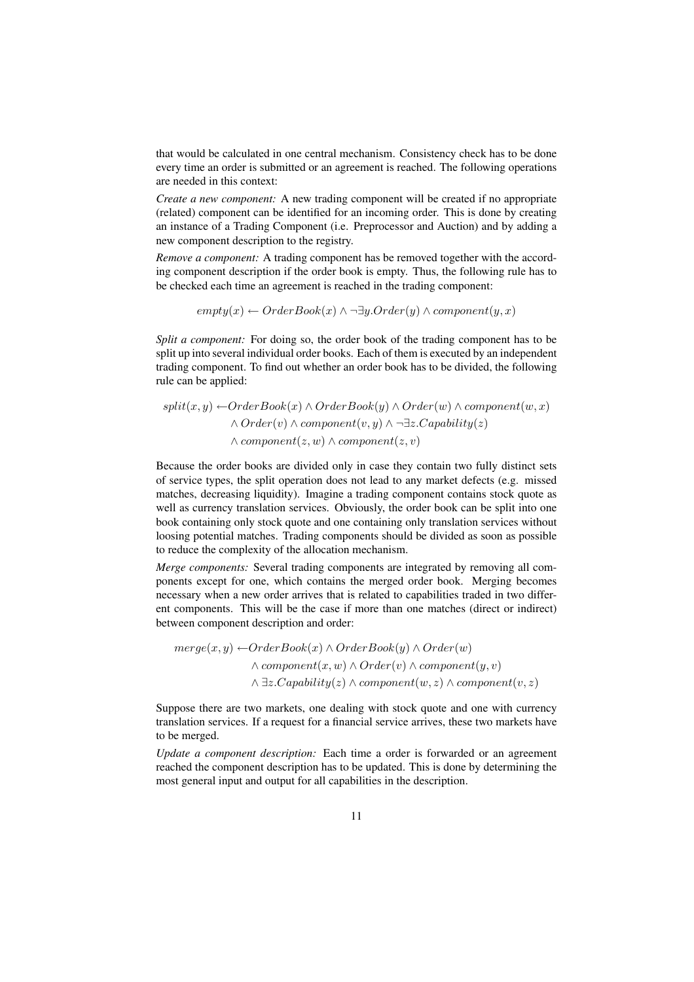that would be calculated in one central mechanism. Consistency check has to be done every time an order is submitted or an agreement is reached. The following operations are needed in this context:

*Create a new component:* A new trading component will be created if no appropriate (related) component can be identified for an incoming order. This is done by creating an instance of a Trading Component (i.e. Preprocessor and Auction) and by adding a new component description to the registry.

*Remove a component:* A trading component has be removed together with the according component description if the order book is empty. Thus, the following rule has to be checked each time an agreement is reached in the trading component:

 $empty(x) \leftarrow OrderBook(x) \wedge \neg \exists y. Order(y) \wedge component(y, x)$ 

*Split a component:* For doing so, the order book of the trading component has to be split up into several individual order books. Each of them is executed by an independent trading component. To find out whether an order book has to be divided, the following rule can be applied:

$$
split(x, y) \leftarrow OrderBook(x) \land OrderBook(y) \land Order(w) \land component(w, x)
$$
  
 
$$
\land Order(v) \land component(v, y) \land \neg \exists z.Capability(z)
$$
  
 
$$
\land component(z, w) \land component(z, v)
$$

Because the order books are divided only in case they contain two fully distinct sets of service types, the split operation does not lead to any market defects (e.g. missed matches, decreasing liquidity). Imagine a trading component contains stock quote as well as currency translation services. Obviously, the order book can be split into one book containing only stock quote and one containing only translation services without loosing potential matches. Trading components should be divided as soon as possible to reduce the complexity of the allocation mechanism.

*Merge components:* Several trading components are integrated by removing all components except for one, which contains the merged order book. Merging becomes necessary when a new order arrives that is related to capabilities traded in two different components. This will be the case if more than one matches (direct or indirect) between component description and order:

 $merge(x, y) \leftarrow OrderBook(x) \wedge OrderBook(y) \wedge Order(w)$  $\wedge \textit{component}(x, w) \wedge \textit{Order}(v) \wedge \textit{component}(u, v)$  $\land \exists z.Capability(z) \land component(w, z) \land component(v, z)$ 

Suppose there are two markets, one dealing with stock quote and one with currency translation services. If a request for a financial service arrives, these two markets have to be merged.

*Update a component description:* Each time a order is forwarded or an agreement reached the component description has to be updated. This is done by determining the most general input and output for all capabilities in the description.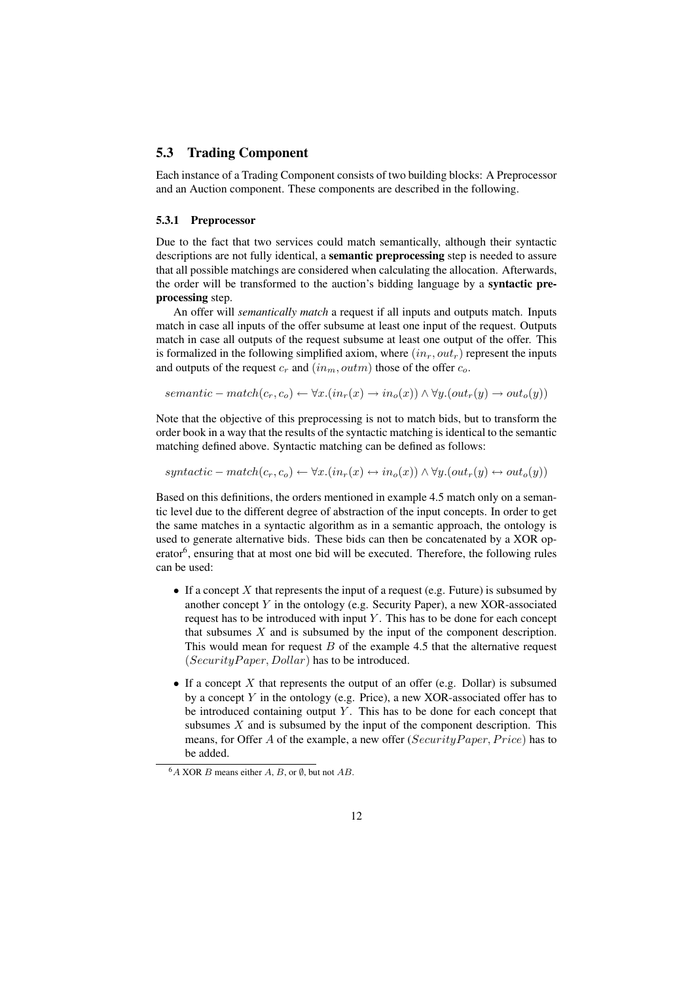### 5.3 Trading Component

Each instance of a Trading Component consists of two building blocks: A Preprocessor and an Auction component. These components are described in the following.

#### 5.3.1 Preprocessor

Due to the fact that two services could match semantically, although their syntactic descriptions are not fully identical, a semantic preprocessing step is needed to assure that all possible matchings are considered when calculating the allocation. Afterwards, the order will be transformed to the auction's bidding language by a syntactic preprocessing step.

An offer will *semantically match* a request if all inputs and outputs match. Inputs match in case all inputs of the offer subsume at least one input of the request. Outputs match in case all outputs of the request subsume at least one output of the offer. This is formalized in the following simplified axiom, where  $(in<sub>r</sub>, out<sub>r</sub>)$  represent the inputs and outputs of the request  $c_r$  and  $(in_m, outm)$  those of the offer  $c_o$ .

 $semantic-match(c_r, c_o) \leftarrow \forall x .(in_r(x) \rightarrow in_o(x)) \wedge \forall y .(out_r(y) \rightarrow out_o(y))$ 

Note that the objective of this preprocessing is not to match bids, but to transform the order book in a way that the results of the syntactic matching is identical to the semantic matching defined above. Syntactic matching can be defined as follows:

 $syntactic-match(c_r, c_o) \leftarrow \forall x . (in_r(x) \leftrightarrow in_o(x)) \wedge \forall y . (out_r(y) \leftrightarrow out_o(y))$ 

Based on this definitions, the orders mentioned in example 4.5 match only on a semantic level due to the different degree of abstraction of the input concepts. In order to get the same matches in a syntactic algorithm as in a semantic approach, the ontology is used to generate alternative bids. These bids can then be concatenated by a XOR operator<sup>6</sup>, ensuring that at most one bid will be executed. Therefore, the following rules can be used:

- If a concept  $X$  that represents the input of a request (e.g. Future) is subsumed by another concept  $Y$  in the ontology (e.g. Security Paper), a new XOR-associated request has to be introduced with input  $Y$ . This has to be done for each concept that subsumes  $X$  and is subsumed by the input of the component description. This would mean for request  $B$  of the example 4.5 that the alternative request  $(Security Paper, Dollar)$  has to be introduced.
- If a concept X that represents the output of an offer (e.g. Dollar) is subsumed by a concept Y in the ontology (e.g. Price), a new XOR-associated offer has to be introduced containing output  $Y$ . This has to be done for each concept that subsumes  $X$  and is subsumed by the input of the component description. This means, for Offer A of the example, a new offer ( $SecurityPaper, Price$ ) has to be added.

 $6A$  XOR B means either A, B, or  $\emptyset$ , but not AB.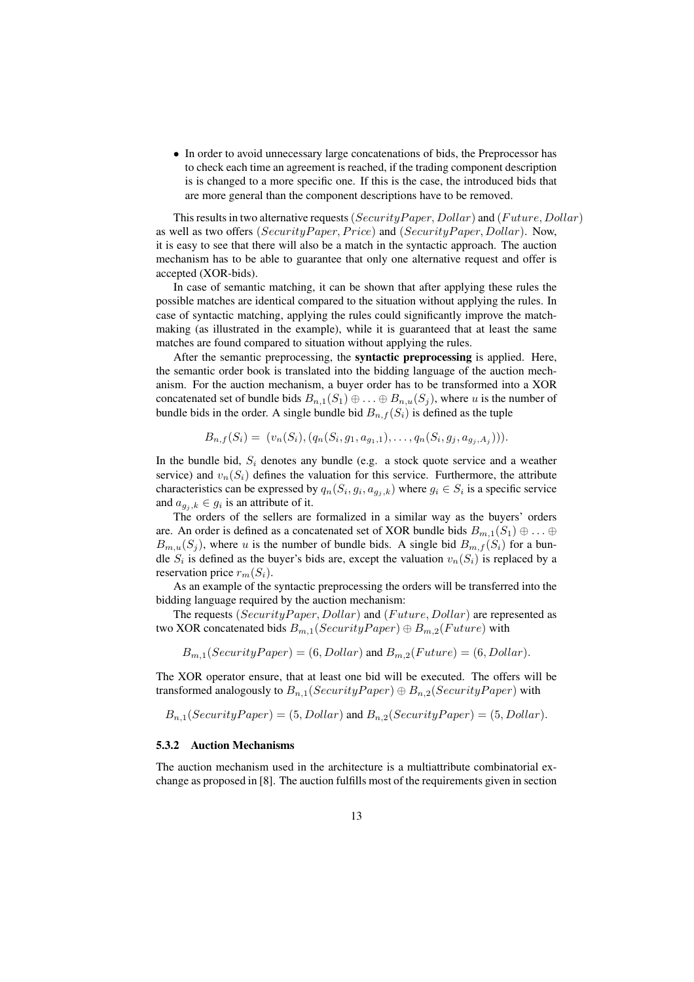• In order to avoid unnecessary large concatenations of bids, the Preprocessor has to check each time an agreement is reached, if the trading component description is is changed to a more specific one. If this is the case, the introduced bids that are more general than the component descriptions have to be removed.

This results in two alternative requests (Security Paper, Dollar) and (Future, Dollar) as well as two offers (SecurityPaper, Price) and (SecurityPaper, Dollar). Now, it is easy to see that there will also be a match in the syntactic approach. The auction mechanism has to be able to guarantee that only one alternative request and offer is accepted (XOR-bids).

In case of semantic matching, it can be shown that after applying these rules the possible matches are identical compared to the situation without applying the rules. In case of syntactic matching, applying the rules could significantly improve the matchmaking (as illustrated in the example), while it is guaranteed that at least the same matches are found compared to situation without applying the rules.

After the semantic preprocessing, the syntactic preprocessing is applied. Here, the semantic order book is translated into the bidding language of the auction mechanism. For the auction mechanism, a buyer order has to be transformed into a XOR concatenated set of bundle bids  $B_{n,1}(S_1) \oplus \ldots \oplus B_{n,u}(S_j)$ , where u is the number of bundle bids in the order. A single bundle bid  $B_{n,f}(S_i)$  is defined as the tuple

$$
B_{n,f}(S_i) = (v_n(S_i), (q_n(S_i, g_1, a_{g_1,1}), \ldots, q_n(S_i, g_j, a_{g_j, A_j}))).
$$

In the bundle bid,  $S_i$  denotes any bundle (e.g. a stock quote service and a weather service) and  $v_n(S_i)$  defines the valuation for this service. Furthermore, the attribute characteristics can be expressed by  $q_n(S_i, g_i, a_{g_j,k})$  where  $g_i \in S_i$  is a specific service and  $a_{g_i,k} \in g_i$  is an attribute of it.

The orders of the sellers are formalized in a similar way as the buyers' orders are. An order is defined as a concatenated set of XOR bundle bids  $B_{m,1}(S_1) \oplus \ldots \oplus$  $B_{m,u}(S_i)$ , where u is the number of bundle bids. A single bid  $B_{m,f}(S_i)$  for a bundle  $S_i$  is defined as the buyer's bids are, except the valuation  $v_n(S_i)$  is replaced by a reservation price  $r_m(S_i)$ .

As an example of the syntactic preprocessing the orders will be transferred into the bidding language required by the auction mechanism:

The requests (Security Paper, Dollar) and (Future, Dollar) are represented as two XOR concatenated bids  $B_{m,1}(Security Paper) \oplus B_{m,2}(Future)$  with

 $B_{m,1}(Security Paper) = (6, Dollar)$  and  $B_{m,2}(Future) = (6, Dollar)$ .

The XOR operator ensure, that at least one bid will be executed. The offers will be transformed analogously to  $B_{n,1}(Security Paper) \oplus B_{n,2}(Security Paper)$  with

 $B_{n,1}(Security Paper) = (5, Dollar)$  and  $B_{n,2}(Security Paper) = (5, Dollar)$ .

#### 5.3.2 Auction Mechanisms

The auction mechanism used in the architecture is a multiattribute combinatorial exchange as proposed in [8]. The auction fulfills most of the requirements given in section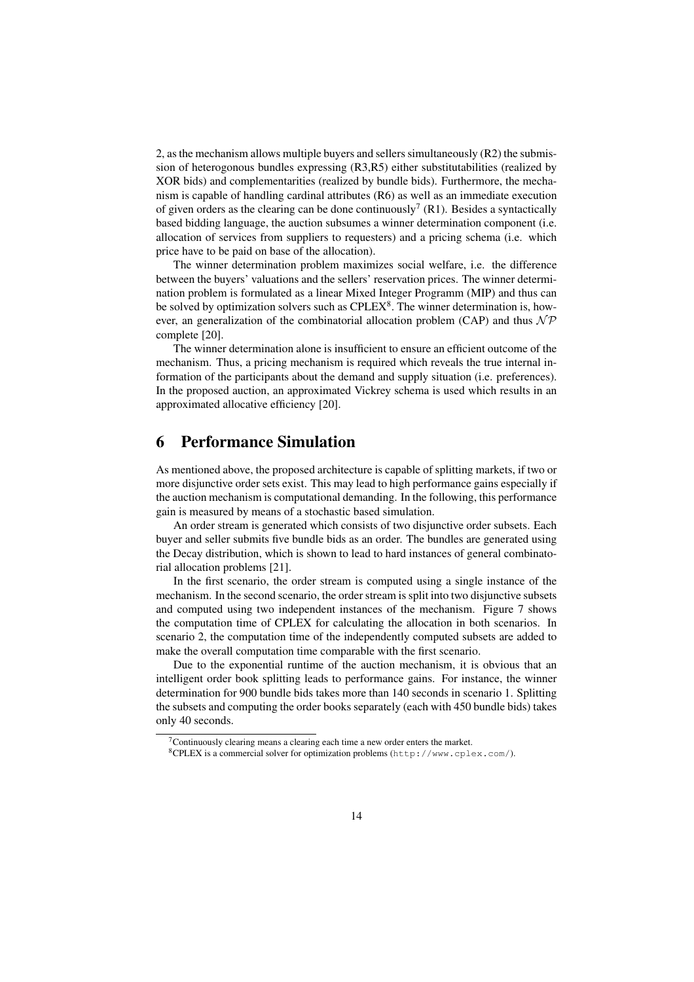2, as the mechanism allows multiple buyers and sellers simultaneously (R2) the submission of heterogonous bundles expressing (R3,R5) either substitutabilities (realized by XOR bids) and complementarities (realized by bundle bids). Furthermore, the mechanism is capable of handling cardinal attributes (R6) as well as an immediate execution of given orders as the clearing can be done continuously<sup>7</sup> (R1). Besides a syntactically based bidding language, the auction subsumes a winner determination component (i.e. allocation of services from suppliers to requesters) and a pricing schema (i.e. which price have to be paid on base of the allocation).

The winner determination problem maximizes social welfare, i.e. the difference between the buyers' valuations and the sellers' reservation prices. The winner determination problem is formulated as a linear Mixed Integer Programm (MIP) and thus can be solved by optimization solvers such as  $\text{CPLEX}^8$ . The winner determination is, however, an generalization of the combinatorial allocation problem (CAP) and thus  $\mathcal{NP}$ complete [20].

The winner determination alone is insufficient to ensure an efficient outcome of the mechanism. Thus, a pricing mechanism is required which reveals the true internal information of the participants about the demand and supply situation (i.e. preferences). In the proposed auction, an approximated Vickrey schema is used which results in an approximated allocative efficiency [20].

## 6 Performance Simulation

As mentioned above, the proposed architecture is capable of splitting markets, if two or more disjunctive order sets exist. This may lead to high performance gains especially if the auction mechanism is computational demanding. In the following, this performance gain is measured by means of a stochastic based simulation.

An order stream is generated which consists of two disjunctive order subsets. Each buyer and seller submits five bundle bids as an order. The bundles are generated using the Decay distribution, which is shown to lead to hard instances of general combinatorial allocation problems [21].

In the first scenario, the order stream is computed using a single instance of the mechanism. In the second scenario, the order stream is split into two disjunctive subsets and computed using two independent instances of the mechanism. Figure 7 shows the computation time of CPLEX for calculating the allocation in both scenarios. In scenario 2, the computation time of the independently computed subsets are added to make the overall computation time comparable with the first scenario.

Due to the exponential runtime of the auction mechanism, it is obvious that an intelligent order book splitting leads to performance gains. For instance, the winner determination for 900 bundle bids takes more than 140 seconds in scenario 1. Splitting the subsets and computing the order books separately (each with 450 bundle bids) takes only 40 seconds.

 $7$ Continuously clearing means a clearing each time a new order enters the market.

 ${}^8$ CPLEX is a commercial solver for optimization problems (http://www.cplex.com/).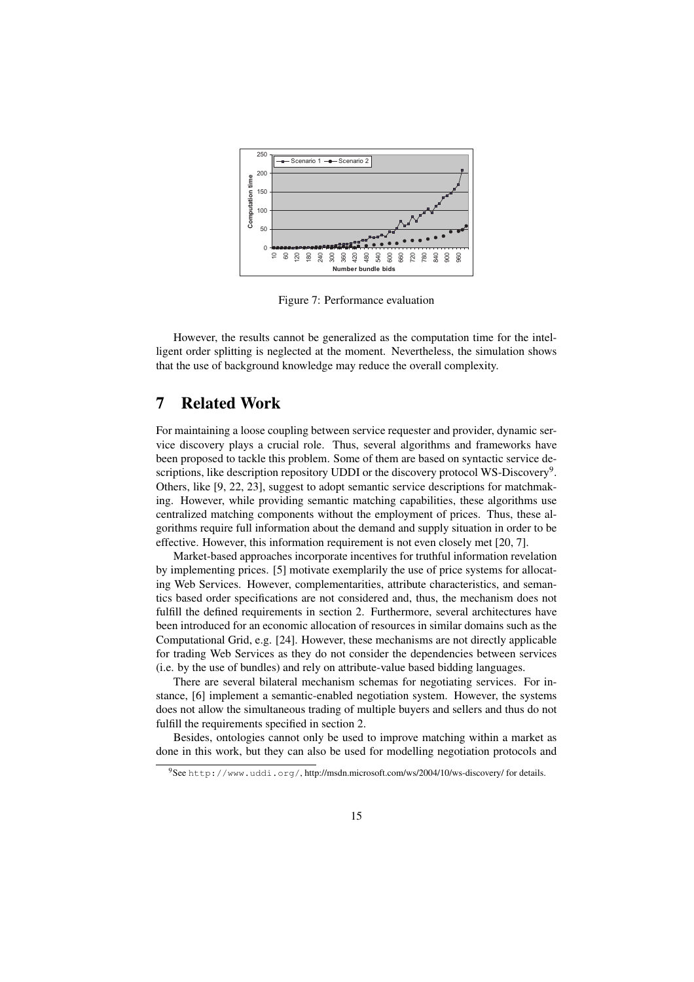

Figure 7: Performance evaluation

However, the results cannot be generalized as the computation time for the intelligent order splitting is neglected at the moment. Nevertheless, the simulation shows that the use of background knowledge may reduce the overall complexity.

## 7 Related Work

For maintaining a loose coupling between service requester and provider, dynamic service discovery plays a crucial role. Thus, several algorithms and frameworks have been proposed to tackle this problem. Some of them are based on syntactic service descriptions, like description repository UDDI or the discovery protocol WS-Discovery<sup>9</sup>. Others, like [9, 22, 23], suggest to adopt semantic service descriptions for matchmaking. However, while providing semantic matching capabilities, these algorithms use centralized matching components without the employment of prices. Thus, these algorithms require full information about the demand and supply situation in order to be effective. However, this information requirement is not even closely met [20, 7].

Market-based approaches incorporate incentives for truthful information revelation by implementing prices. [5] motivate exemplarily the use of price systems for allocating Web Services. However, complementarities, attribute characteristics, and semantics based order specifications are not considered and, thus, the mechanism does not fulfill the defined requirements in section 2. Furthermore, several architectures have been introduced for an economic allocation of resources in similar domains such as the Computational Grid, e.g. [24]. However, these mechanisms are not directly applicable for trading Web Services as they do not consider the dependencies between services (i.e. by the use of bundles) and rely on attribute-value based bidding languages.

There are several bilateral mechanism schemas for negotiating services. For instance, [6] implement a semantic-enabled negotiation system. However, the systems does not allow the simultaneous trading of multiple buyers and sellers and thus do not fulfill the requirements specified in section 2.

Besides, ontologies cannot only be used to improve matching within a market as done in this work, but they can also be used for modelling negotiation protocols and

<sup>9</sup>See http://www.uddi.org/, http://msdn.microsoft.com/ws/2004/10/ws-discovery/ for details.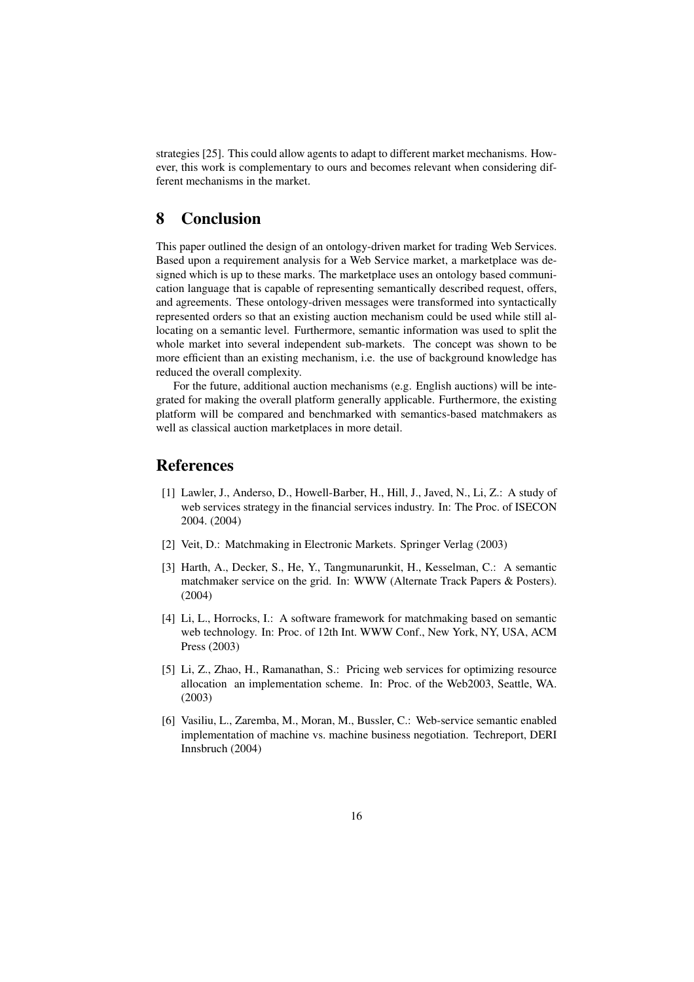strategies [25]. This could allow agents to adapt to different market mechanisms. However, this work is complementary to ours and becomes relevant when considering different mechanisms in the market.

## 8 Conclusion

This paper outlined the design of an ontology-driven market for trading Web Services. Based upon a requirement analysis for a Web Service market, a marketplace was designed which is up to these marks. The marketplace uses an ontology based communication language that is capable of representing semantically described request, offers, and agreements. These ontology-driven messages were transformed into syntactically represented orders so that an existing auction mechanism could be used while still allocating on a semantic level. Furthermore, semantic information was used to split the whole market into several independent sub-markets. The concept was shown to be more efficient than an existing mechanism, i.e. the use of background knowledge has reduced the overall complexity.

For the future, additional auction mechanisms (e.g. English auctions) will be integrated for making the overall platform generally applicable. Furthermore, the existing platform will be compared and benchmarked with semantics-based matchmakers as well as classical auction marketplaces in more detail.

## References

- [1] Lawler, J., Anderso, D., Howell-Barber, H., Hill, J., Javed, N., Li, Z.: A study of web services strategy in the financial services industry. In: The Proc. of ISECON 2004. (2004)
- [2] Veit, D.: Matchmaking in Electronic Markets. Springer Verlag (2003)
- [3] Harth, A., Decker, S., He, Y., Tangmunarunkit, H., Kesselman, C.: A semantic matchmaker service on the grid. In: WWW (Alternate Track Papers & Posters). (2004)
- [4] Li, L., Horrocks, I.: A software framework for matchmaking based on semantic web technology. In: Proc. of 12th Int. WWW Conf., New York, NY, USA, ACM Press (2003)
- [5] Li, Z., Zhao, H., Ramanathan, S.: Pricing web services for optimizing resource allocation an implementation scheme. In: Proc. of the Web2003, Seattle, WA. (2003)
- [6] Vasiliu, L., Zaremba, M., Moran, M., Bussler, C.: Web-service semantic enabled implementation of machine vs. machine business negotiation. Techreport, DERI Innsbruch (2004)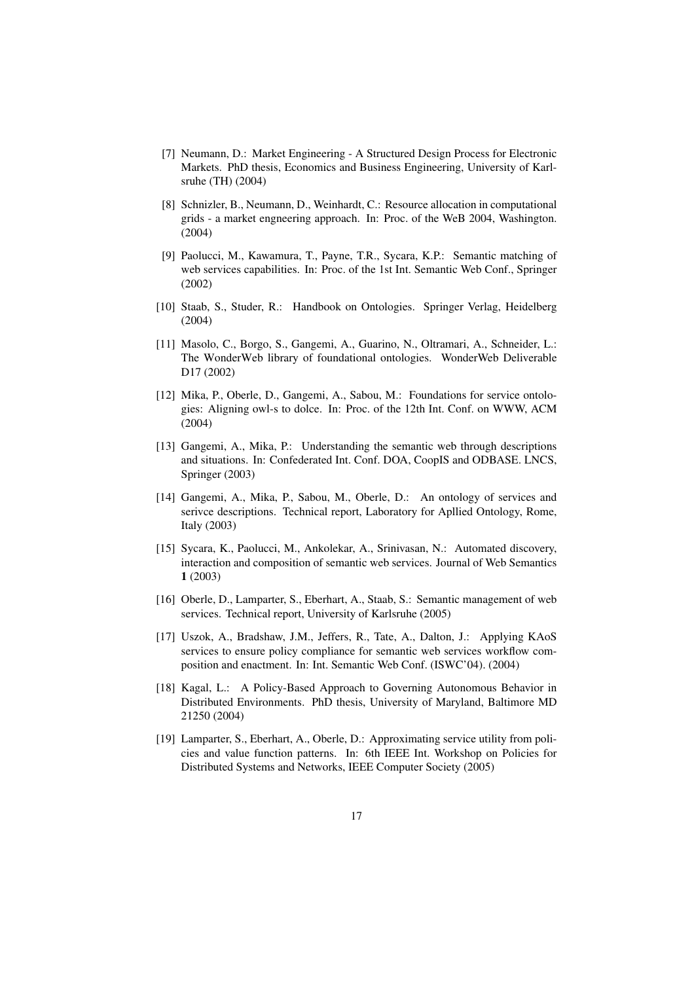- [7] Neumann, D.: Market Engineering A Structured Design Process for Electronic Markets. PhD thesis, Economics and Business Engineering, University of Karlsruhe (TH) (2004)
- [8] Schnizler, B., Neumann, D., Weinhardt, C.: Resource allocation in computational grids - a market engneering approach. In: Proc. of the WeB 2004, Washington. (2004)
- [9] Paolucci, M., Kawamura, T., Payne, T.R., Sycara, K.P.: Semantic matching of web services capabilities. In: Proc. of the 1st Int. Semantic Web Conf., Springer (2002)
- [10] Staab, S., Studer, R.: Handbook on Ontologies. Springer Verlag, Heidelberg (2004)
- [11] Masolo, C., Borgo, S., Gangemi, A., Guarino, N., Oltramari, A., Schneider, L.: The WonderWeb library of foundational ontologies. WonderWeb Deliverable D17 (2002)
- [12] Mika, P., Oberle, D., Gangemi, A., Sabou, M.: Foundations for service ontologies: Aligning owl-s to dolce. In: Proc. of the 12th Int. Conf. on WWW, ACM (2004)
- [13] Gangemi, A., Mika, P.: Understanding the semantic web through descriptions and situations. In: Confederated Int. Conf. DOA, CoopIS and ODBASE. LNCS, Springer (2003)
- [14] Gangemi, A., Mika, P., Sabou, M., Oberle, D.: An ontology of services and serivce descriptions. Technical report, Laboratory for Apllied Ontology, Rome, Italy (2003)
- [15] Sycara, K., Paolucci, M., Ankolekar, A., Srinivasan, N.: Automated discovery, interaction and composition of semantic web services. Journal of Web Semantics 1 (2003)
- [16] Oberle, D., Lamparter, S., Eberhart, A., Staab, S.: Semantic management of web services. Technical report, University of Karlsruhe (2005)
- [17] Uszok, A., Bradshaw, J.M., Jeffers, R., Tate, A., Dalton, J.: Applying KAoS services to ensure policy compliance for semantic web services workflow composition and enactment. In: Int. Semantic Web Conf. (ISWC'04). (2004)
- [18] Kagal, L.: A Policy-Based Approach to Governing Autonomous Behavior in Distributed Environments. PhD thesis, University of Maryland, Baltimore MD 21250 (2004)
- [19] Lamparter, S., Eberhart, A., Oberle, D.: Approximating service utility from policies and value function patterns. In: 6th IEEE Int. Workshop on Policies for Distributed Systems and Networks, IEEE Computer Society (2005)